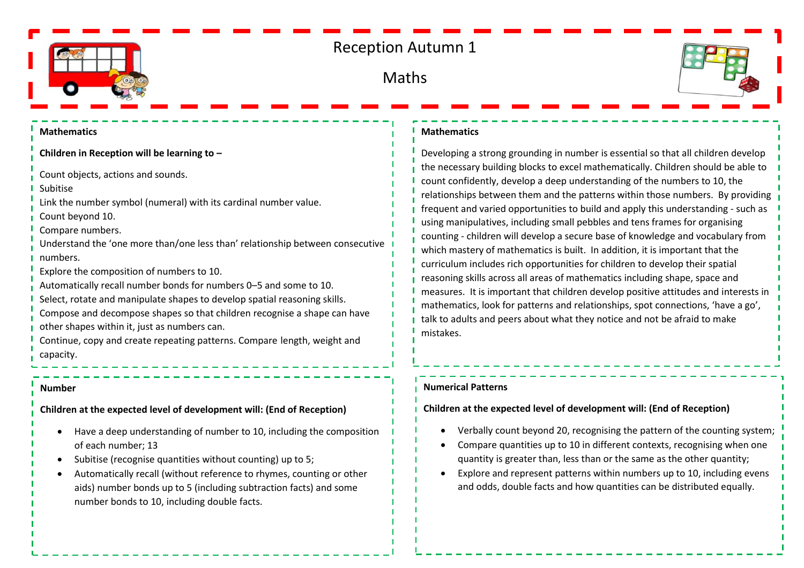

# Reception Autumn 1

## Maths



#### **Mathematics**

**Children in Reception will be learning to –**

Count objects, actions and sounds.

Subitise

Link the number symbol (numeral) with its cardinal number value.

Count beyond 10.

Compare numbers.

Understand the 'one more than/one less than' relationship between consecutive numbers.

Explore the composition of numbers to 10.

- Automatically recall number bonds for numbers 0–5 and some to 10.
- Select, rotate and manipulate shapes to develop spatial reasoning skills.
- Compose and decompose shapes so that children recognise a shape can have other shapes within it, just as numbers can.

Continue, copy and create repeating patterns. Compare length, weight and capacity.

#### **Number**

**Children at the expected level of development will: (End of Reception)**

- Have a deep understanding of number to 10, including the composition of each number; 13
- Subitise (recognise quantities without counting) up to 5;
- Automatically recall (without reference to rhymes, counting or other aids) number bonds up to 5 (including subtraction facts) and some number bonds to 10, including double facts.

#### **Mathematics**

Developing a strong grounding in number is essential so that all children develop the necessary building blocks to excel mathematically. Children should be able to count confidently, develop a deep understanding of the numbers to 10, the relationships between them and the patterns within those numbers. By providing frequent and varied opportunities to build and apply this understanding - such as using manipulatives, including small pebbles and tens frames for organising counting - children will develop a secure base of knowledge and vocabulary from which mastery of mathematics is built. In addition, it is important that the curriculum includes rich opportunities for children to develop their spatial reasoning skills across all areas of mathematics including shape, space and measures. It is important that children develop positive attitudes and interests in mathematics, look for patterns and relationships, spot connections, 'have a go', talk to adults and peers about what they notice and not be afraid to make mistakes.

#### **Numerical Patterns**

### **Children at the expected level of development will: (End of Reception)**

- Verbally count beyond 20, recognising the pattern of the counting system;
- Compare quantities up to 10 in different contexts, recognising when one quantity is greater than, less than or the same as the other quantity;
- Explore and represent patterns within numbers up to 10, including evens and odds, double facts and how quantities can be distributed equally.